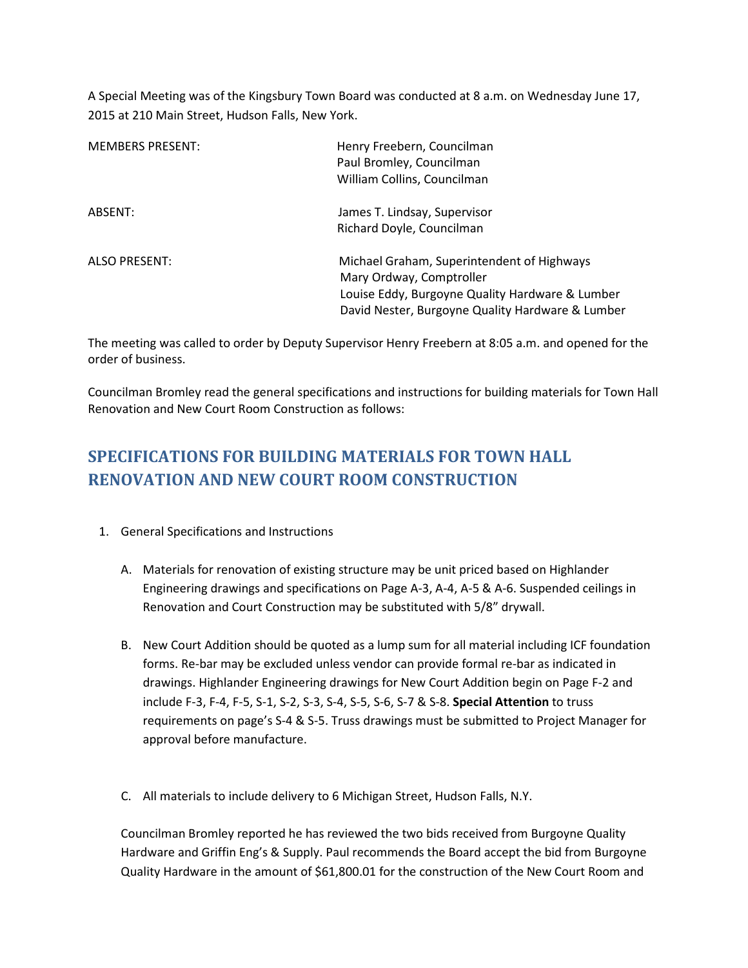A Special Meeting was of the Kingsbury Town Board was conducted at 8 a.m. on Wednesday June 17, 2015 at 210 Main Street, Hudson Falls, New York.

| <b>MEMBERS PRESENT:</b> | Henry Freebern, Councilman<br>Paul Bromley, Councilman<br>William Collins, Councilman                                                                                         |
|-------------------------|-------------------------------------------------------------------------------------------------------------------------------------------------------------------------------|
| ABSENT:                 | James T. Lindsay, Supervisor<br>Richard Doyle, Councilman                                                                                                                     |
| <b>ALSO PRESENT:</b>    | Michael Graham, Superintendent of Highways<br>Mary Ordway, Comptroller<br>Louise Eddy, Burgoyne Quality Hardware & Lumber<br>David Nester, Burgoyne Quality Hardware & Lumber |

The meeting was called to order by Deputy Supervisor Henry Freebern at 8:05 a.m. and opened for the order of business.

Councilman Bromley read the general specifications and instructions for building materials for Town Hall Renovation and New Court Room Construction as follows:

# **SPECIFICATIONS FOR BUILDING MATERIALS FOR TOWN HALL RENOVATION AND NEW COURT ROOM CONSTRUCTION**

- 1. General Specifications and Instructions
	- A. Materials for renovation of existing structure may be unit priced based on Highlander Engineering drawings and specifications on Page A-3, A-4, A-5 & A-6. Suspended ceilings in Renovation and Court Construction may be substituted with 5/8" drywall.
	- B. New Court Addition should be quoted as a lump sum for all material including ICF foundation forms. Re-bar may be excluded unless vendor can provide formal re-bar as indicated in drawings. Highlander Engineering drawings for New Court Addition begin on Page F-2 and include F-3, F-4, F-5, S-1, S-2, S-3, S-4, S-5, S-6, S-7 & S-8. **Special Attention** to truss requirements on page's S-4 & S-5. Truss drawings must be submitted to Project Manager for approval before manufacture.
	- C. All materials to include delivery to 6 Michigan Street, Hudson Falls, N.Y.

Councilman Bromley reported he has reviewed the two bids received from Burgoyne Quality Hardware and Griffin Eng's & Supply. Paul recommends the Board accept the bid from Burgoyne Quality Hardware in the amount of \$61,800.01 for the construction of the New Court Room and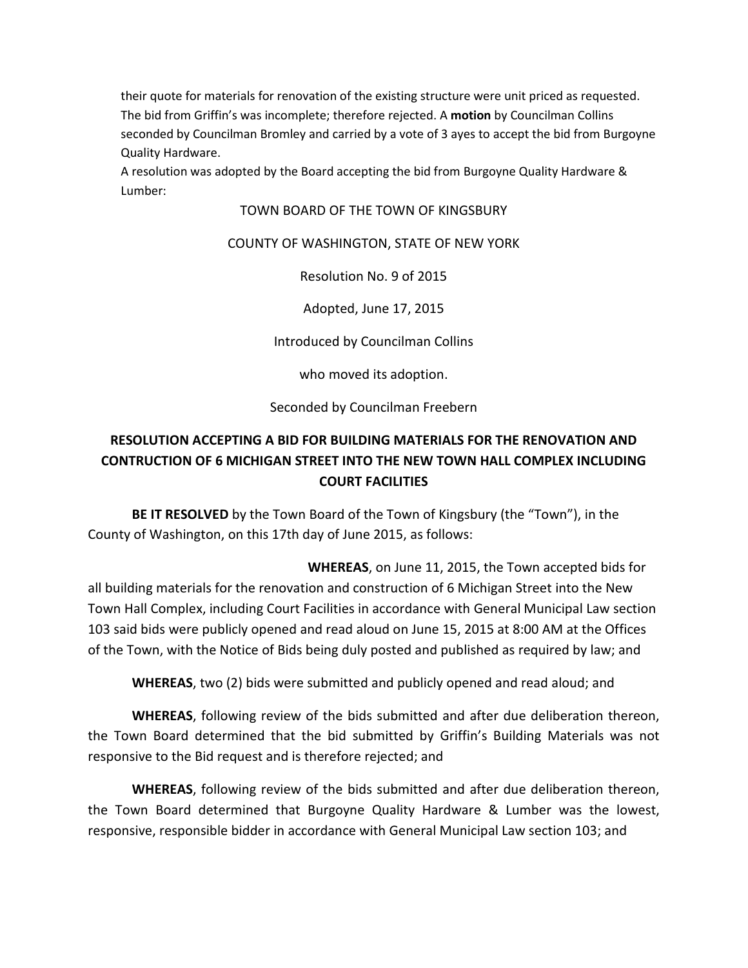their quote for materials for renovation of the existing structure were unit priced as requested. The bid from Griffin's was incomplete; therefore rejected. A **motion** by Councilman Collins seconded by Councilman Bromley and carried by a vote of 3 ayes to accept the bid from Burgoyne Quality Hardware.

A resolution was adopted by the Board accepting the bid from Burgoyne Quality Hardware & Lumber:

### TOWN BOARD OF THE TOWN OF KINGSBURY

### COUNTY OF WASHINGTON, STATE OF NEW YORK

Resolution No. 9 of 2015

Adopted, June 17, 2015

Introduced by Councilman Collins

who moved its adoption.

Seconded by Councilman Freebern

## **RESOLUTION ACCEPTING A BID FOR BUILDING MATERIALS FOR THE RENOVATION AND CONTRUCTION OF 6 MICHIGAN STREET INTO THE NEW TOWN HALL COMPLEX INCLUDING COURT FACILITIES**

 **BE IT RESOLVED** by the Town Board of the Town of Kingsbury (the "Town"), in the County of Washington, on this 17th day of June 2015, as follows:

 **WHEREAS**, on June 11, 2015, the Town accepted bids for all building materials for the renovation and construction of 6 Michigan Street into the New Town Hall Complex, including Court Facilities in accordance with General Municipal Law section 103 said bids were publicly opened and read aloud on June 15, 2015 at 8:00 AM at the Offices of the Town, with the Notice of Bids being duly posted and published as required by law; and

**WHEREAS**, two (2) bids were submitted and publicly opened and read aloud; and

**WHEREAS**, following review of the bids submitted and after due deliberation thereon, the Town Board determined that the bid submitted by Griffin's Building Materials was not responsive to the Bid request and is therefore rejected; and

**WHEREAS**, following review of the bids submitted and after due deliberation thereon, the Town Board determined that Burgoyne Quality Hardware & Lumber was the lowest, responsive, responsible bidder in accordance with General Municipal Law section 103; and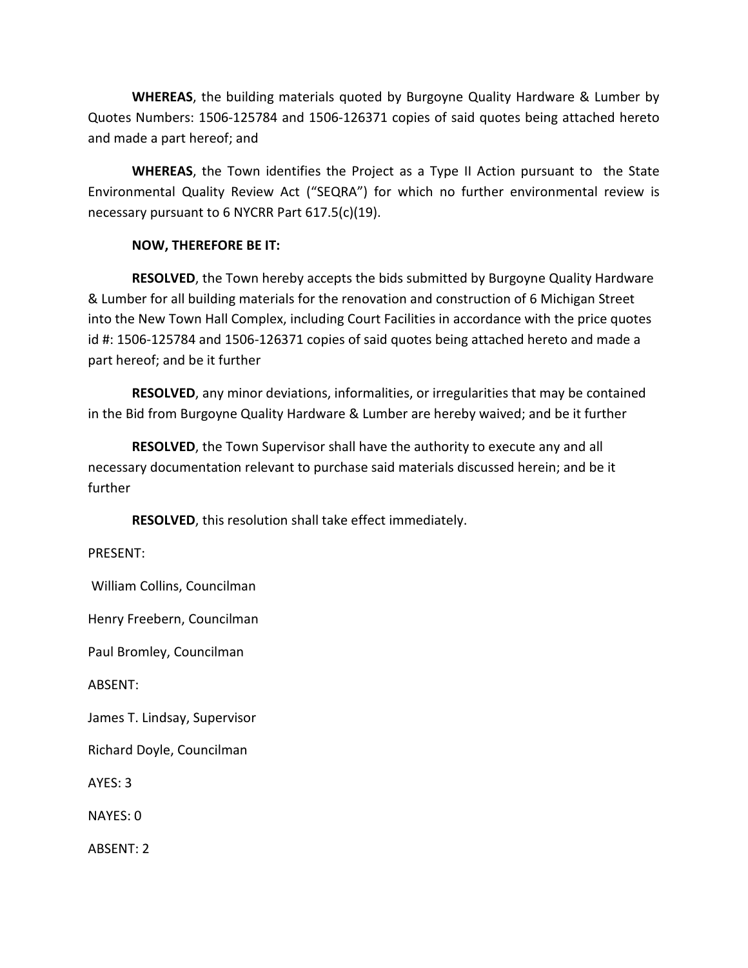**WHEREAS**, the building materials quoted by Burgoyne Quality Hardware & Lumber by Quotes Numbers: 1506-125784 and 1506-126371 copies of said quotes being attached hereto and made a part hereof; and

**WHEREAS**, the Town identifies the Project as a Type II Action pursuant to the State Environmental Quality Review Act ("SEQRA") for which no further environmental review is necessary pursuant to 6 NYCRR Part 617.5(c)(19).

### **NOW, THEREFORE BE IT:**

 **RESOLVED**, the Town hereby accepts the bids submitted by Burgoyne Quality Hardware & Lumber for all building materials for the renovation and construction of 6 Michigan Street into the New Town Hall Complex, including Court Facilities in accordance with the price quotes id #: 1506-125784 and 1506-126371 copies of said quotes being attached hereto and made a part hereof; and be it further

**RESOLVED**, any minor deviations, informalities, or irregularities that may be contained in the Bid from Burgoyne Quality Hardware & Lumber are hereby waived; and be it further

**RESOLVED**, the Town Supervisor shall have the authority to execute any and all necessary documentation relevant to purchase said materials discussed herein; and be it further

**RESOLVED**, this resolution shall take effect immediately.

PRESENT:

William Collins, Councilman

Henry Freebern, Councilman

Paul Bromley, Councilman

ABSENT:

James T. Lindsay, Supervisor

Richard Doyle, Councilman

AYES: 3

NAYES: 0

ABSENT: 2